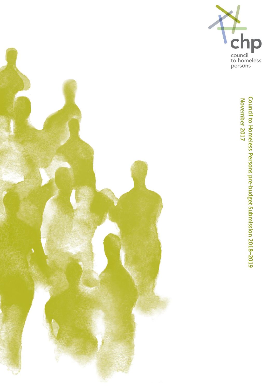



November 2017 **Council to Homeless Persons pre-budget Submission 201 November 2017 8 –20 1 9**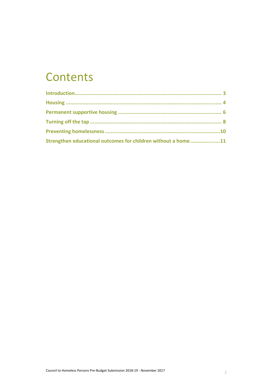### **Contents**

| Strengthen educational outcomes for children without a home11 |  |
|---------------------------------------------------------------|--|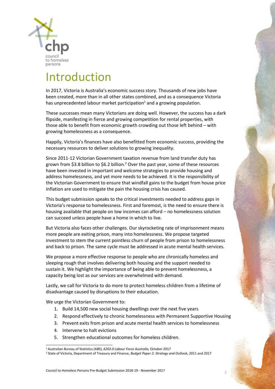

### Introduction

In 2017, Victoria is Australia's economic success story. Thousands of new jobs have been created, more than in all other states combined, and as a consequence Victoria has unprecedented labour market participation<sup>1</sup> and a growing population.

These successes mean many Victorians are doing well. However, the success has a dark flipside, manifesting in fierce and growing competition for rental properties, with those able to benefit from economic growth crowding out those left behind – with growing homelessness as a consequence.

Happily, Victoria's finances have also benefitted from economic success, providing the necessary resources to deliver solutions to growing inequality.

Since 2011-12 Victorian Government taxation revenue from land transfer duty has grown from \$3.8 billion to \$6.2 billion. <sup>2</sup> Over the past year, some of these resources have been invested in important and welcome strategies to provide housing and address homelessness, and yet more needs to be achieved. It is the responsibility of the Victorian Government to ensure that windfall gains to the budget from house price inflation are used to mitigate the pain the housing crisis has caused.

This budget submission speaks to the critical investments needed to address gaps in Victoria's response to homelessness. First and foremost, is the need to ensure there is housing available that people on low incomes can afford – no homelessness solution can succeed unless people have a home in which to live.

But Victoria also faces other challenges. Our skyrocketing rate of imprisonment means more people are exiting prison, many into homelessness. We propose targeted investment to stem the current pointless churn of people from prison to homelessness and back to prison. The same cycle must be addressed in acute mental health services.

We propose a more effective response to people who are chronically homeless and sleeping rough that involves delivering both housing and the support needed to sustain it. We highlight the importance of being able to prevent homelessness, a capacity being lost as our services are overwhelmed with demand.

Lastly, we call for Victoria to do more to protect homeless children from a lifetime of disadvantage caused by disruptions to their education.

We urge the Victorian Government to:

- 1. Build 14,500 new social housing dwellings over the next five years
- 2. Respond effectively to chronic homelessness with Permanent Supportive Housing
- 3. Prevent exits from prison and acute mental health services to homelessness
- 4. Intervene to halt evictions
- 5. Strengthen educational outcomes for homeless children.

l <sup>1</sup> Australian Bureau of Statistics (ABS), *6202.0 Labour Force Australia,* October 2017

<sup>2</sup> State of Victoria, Department of Treasury and Finance, *Budget Paper 2: Strategy and Outlook*, 2011 and 2017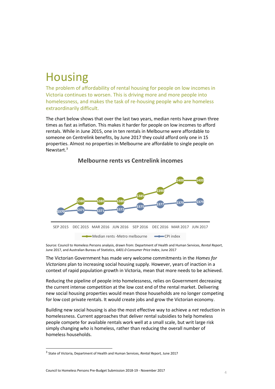### **Housing**

The problem of affordability of rental housing for people on low incomes in Victoria continues to worsen. This is driving more and more people into homelessness, and makes the task of re-housing people who are homeless extraordinarily difficult.

The chart below shows that over the last two years, median rents have grown three times as fast as inflation. This makes it harder for people on low incomes to afford rentals. While in June 2015, one in ten rentals in Melbourne were affordable to someone on Centrelink benefits, by June 2017 they could afford only one in 15 properties. Almost no properties in Melbourne are affordable to single people on Newstart.<sup>3</sup>

### **\$370**  \$380 **\$380** \$380 **\$385 \$390 \$400 \$400 \$371** \$371 \$372 **\$375 \$377 \$379 \$379** SEP 2015 DEC 2015 MAR 2016 JUN 2016 SEP 2016 DEC 2016 MAR 2017 JUN 2017 Median rents -Metro melbourne **CPI** index

#### **Melbourne rents vs Centrelink incomes**

Source: Council to Homeless Persons analysis, drawn from: Department of Health and Human Services, *Rental Report*, June 2017, and Australian Bureau of Statistics, *6401.0 Consumer Price Index*, June 2017

The Victorian Government has made very welcome commitments in the *Homes for Victorians* plan to increasing social housing supply. However, years of inaction in a context of rapid population growth in Victoria, mean that more needs to be achieved.

Reducing the pipeline of people into homelessness, relies on Government decreasing the current intense competition at the low cost end of the rental market. Delivering new social housing properties would mean those households are no longer competing for low cost private rentals. It would create jobs and grow the Victorian economy.

Building new social housing is also the most effective way to achieve a *net* reduction in homelessness. Current approaches that deliver rental subsidies to help homeless people compete for available rentals work well at a small scale, but writ large risk simply changing *who* is homeless, rather than reducing the overall number of homeless households.

 $\overline{a}$ 

<sup>3</sup> State of Victoria, Department of Health and Human Services, *Rental Report,* June 2017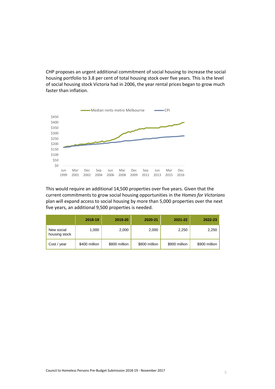CHP proposes an urgent additional commitment of social housing to increase the social housing portfolio to 3.8 per cent of total housing stock over five years. This is the level of social housing stock Victoria had in 2006, the year rental prices began to grow much faster than inflation.



This would require an additional 14,500 properties over five years. Given that the current commitments to grow social housing opportunities in the *Homes for Victorians* plan will expand access to social housing by more than 5,000 properties over the next five years, an additional 9,500 properties is needed.

|                             | 2018-19       | 2019-20       | 2020-21       | 2021-22       | 2022-23       |
|-----------------------------|---------------|---------------|---------------|---------------|---------------|
| New social<br>housing stock | 1,000         | 2,000         | 2,000         | 2,250         | 2,250         |
| Cost / year                 | \$400 million | \$800 million | \$800 million | \$900 million | \$900 million |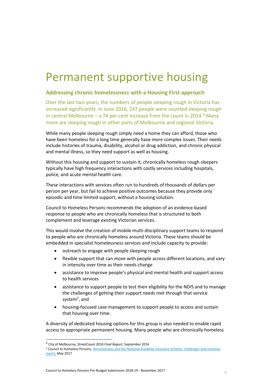## Permanent supportive housing

#### **Addressing chronic homelessness with a Housing First approach**

Over the last two years, the numbers of people sleeping rough in Victoria has increased significantly. In June 2016, 247 people were counted sleeping rough in central Melbourne – a 74 per cent increase from the count in 2014. <sup>4</sup> Many more are sleeping rough in other parts of Melbourne and regional Victoria.

While many people sleeping rough simply need a home they can afford, those who have been homeless for a long time generally have more complex issues. Their needs include histories of trauma, disability, alcohol or drug addiction, and chronic physical and mental illness, so they need support as well as housing.

Without this housing and support to sustain it, chronically homeless rough sleepers typically have high frequency interactions with costly services including hospitals, police, and acute mental health care.

These interactions with services often run to hundreds of thousands of dollars per person per year, but fail to achieve positive outcomes because they provide only episodic and time limited support, without a housing solution.

Council to Homeless Persons recommends the adoption of an evidence-based response to people who are chronically homeless that is structured to both complement and leverage existing Victorian services.

This would involve the creation of mobile multi-disciplinary support teams to respond to people who are chronically homeless around Victoria. These teams should be embedded in specialist homelessness services and include capacity to provide:

- outreach to engage with people sleeping rough
- flexible support that can move with people across different locations, and vary in intensity over time as their needs change
- assistance to improve people's physical and mental health and support access to health services
- assistance to support people to test their eligibility for the NDIS and to manage the challenges of getting their support needs met through that service system<sup>5</sup>, and
- housing-focused case management to support people to access and sustain that housing over time.

A diversity of dedicated housing options for this group is also needed to enable rapid access to appropriate permanent housing. Many people who are chronically homeless

<sup>4</sup> City of Melbourne, *StreetCount 2016 Final Report*, September 2016

<sup>5</sup> Council to Homeless Persons, *[Homelessness and the National Disability Insurance Scheme: challenges and solutions](http://chp.org.au/wp-content/uploads/2012/06/170509-NDIS-summary-report-KP-final-edits.pdf)  [report](http://chp.org.au/wp-content/uploads/2012/06/170509-NDIS-summary-report-KP-final-edits.pdf)*, May 2017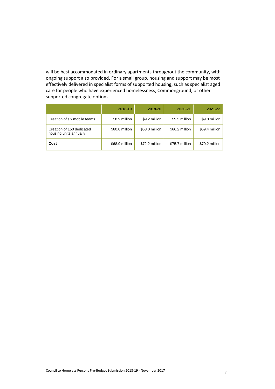will be best accommodated in ordinary apartments throughout the community, with ongoing support also provided. For a small group, housing and support may be most effectively delivered in specialist forms of supported housing, such as specialist aged care for people who have experienced homelessness, Commonground, or other supported congregate options.

|                                                     | 2018-19        | 2019-20        | 2020-21        | 2021-22        |
|-----------------------------------------------------|----------------|----------------|----------------|----------------|
| Creation of six mobile teams                        | \$8.9 million  | \$9.2 million  | \$9.5 million  | \$9.8 million  |
| Creation of 150 dedicated<br>housing units annually | \$60.0 million | \$63.0 million | \$66.2 million | \$69.4 million |
| Cost                                                | \$68.9 million | \$72.2 million | \$75.7 million | \$79.2 million |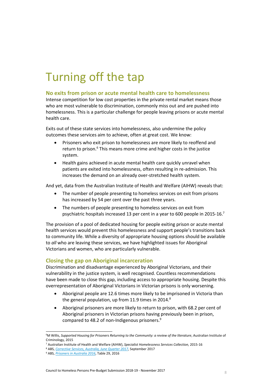## Turning off the tap

#### **No exits from prison or acute mental health care to homelessness**

Intense competition for low cost properties in the private rental market means those who are most vulnerable to discrimination, commonly miss out and are pushed into homelessness. This is a particular challenge for people leaving prisons or acute mental health care.

Exits out of these state services into homelessness, also undermine the policy outcomes these services aim to achieve, often at great cost. We know:

- Prisoners who exit prison to homelessness are more likely to reoffend and return to prison.<sup>6</sup> This means more crime and higher costs in the justice system.
- Health gains achieved in acute mental health care quickly unravel when patients are exited into homelessness, often resulting in re-admission. This increases the demand on an already over-stretched health system.

And yet, data from the Australian Institute of Health and Welfare (AIHW) reveals that:

- The number of people presenting to homeless services on exit from prisons has increased by 54 per cent over the past three years.
- The numbers of people presenting to homeless services on exit from psychiatric hospitals increased 13 per cent in a year to 600 people in 2015-16.<sup>7</sup>

The provision of a pool of dedicated housing for people exiting prison or acute mental health services would prevent this homelessness and support people's transitions back to community life. While a diversity of appropriate housing options should be available to *all* who are leaving these services, we have highlighted issues for Aboriginal Victorians and women, who are particularly vulnerable.

#### **Closing the gap on Aboriginal incarceration**

Discrimination and disadvantage experienced by Aboriginal Victorians, and their vulnerability in the justice system, is well recognised. Countless recommendations have been made to close this gap, including access to appropriate housing. Despite this overrepresentation of Aboriginal Victorians in Victorian prisons is only worsening.

- Aboriginal people are 12.6 times more likely to be imprisoned in Victoria than the general population, up from 11.9 times in 2014.<sup>8</sup>
- Aboriginal prisoners are more likely to return to prison, with 68.2 per cent of Aboriginal prisoners in Victorian prisons having previously been in prison, compared to 48.2 of non-Indigenous prisoners. 9

<sup>6</sup>M Willis, *Supported Housing for Prisoners Returning to the Community: a review of the literature*, Australian Institute of Criminology, 2015

<sup>7</sup> Australian Institute of Health and Welfare (AIHW), *Specialist Homelessness Services Collection,* 2015-16

<sup>8</sup> ABS, *[Corrective Services, Australia, June Quarter 2017](http://www.abs.gov.au/AUSSTATS/abs@.nsf/DetailsPage/4512.0June%20Quarter%202017?OpenDocument)*, September 2017

<sup>9</sup> ABS, *[Prisoners in Australia 2016](http://www.abs.gov.au/AUSSTATS/abs@.nsf/DetailsPage/4517.02016?OpenDocument)*, Table 29, 2016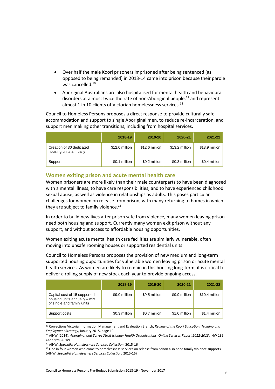- Over half the male Koori prisoners imprisoned after being sentenced (as opposed to being remanded) in 2013-14 came into prison because their parole was cancelled.<sup>10</sup>
- Aboriginal Australians are also hospitalised for mental health and behavioural disorders at almost twice the rate of non-Aboriginal people, <sup>11</sup> and represent almost 1 in 10 clients of Victorian homelessness services.<sup>12</sup>

Council to Homeless Persons proposes a direct response to provide culturally safe accommodation and support to single Aboriginal men, to reduce re-incarceration, and support men making other transitions, including from hospital services.

|                                                    | 2018-19        | 2019-20        | 2020-21        | 2021-22        |
|----------------------------------------------------|----------------|----------------|----------------|----------------|
| Creation of 30 dedicated<br>housing units annually | \$12.0 million | \$12.6 million | \$13.2 million | \$13.9 million |
| Support                                            | \$0.1 million  | \$0.2 million  | \$0.3 million  | \$0.4 million  |

#### **Women exiting prison and acute mental health care**

Women prisoners are more likely than their male counterparts to have been diagnosed with a mental illness, to have care responsibilities, and to have experienced childhood sexual abuse, as well as violence in relationships as adults. This poses particular challenges for women on release from prison, with many returning to homes in which they are subject to family violence. $^{13}$ 

In order to build new lives after prison safe from violence, many women leaving prison need both housing and support. Currently many women exit prison without any support, and without access to affordable housing opportunities.

Women exiting acute mental health care facilities are similarly vulnerable, often moving into unsafe rooming houses or supported residential units.

Council to Homeless Persons proposes the provision of new medium and long-term supported housing opportunities for vulnerable women leaving prison or acute mental health services. As women are likely to remain in this housing long-term, it is critical to deliver a rolling supply of new stock each year to provide ongoing access.

|                                                                                            | 2018-19       | 2019-20       | 2020-21       | 2021-22        |
|--------------------------------------------------------------------------------------------|---------------|---------------|---------------|----------------|
| Capital cost of 15 supported<br>housing units annually – mix<br>of single and family units | \$9.0 million | \$9.5 million | \$9.9 million | \$10.4 million |
| Support costs                                                                              | \$0.3 million | \$0.7 million | \$1.0 million | \$1.4 million  |

<sup>10</sup> Corrections Victoria Information Management and Evaluation Branch, *Review of the Koori Education, Training and Employment Strategy*, January 2015, page 10

<sup>11</sup> AIHW (2014), *Aboriginal and Torres Strait Islander Health Organisations, Online Services Report 2012-2013*, IHW 139. Canberra, AIHW

<sup>12</sup> AIHW, *Specialist Homelessness Services Collection,* 2015-16

<sup>&</sup>lt;sup>13</sup> One in four women who come to homelessness services on release from prison also need family violence supports (AIHW, *Specialist Homelessness Services Collection,* 2015-16)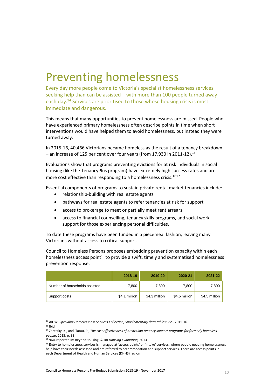### Preventing homelessness

Every day more people come to Victoria's specialist homelessness services seeking help than can be assisted – with more than 100 people turned away each day.<sup>14</sup> Services are prioritised to those whose housing crisis is most immediate and dangerous.

This means that many opportunities to prevent homelessness are missed. People who have experienced primary homelessness often describe points in time when short interventions would have helped them to avoid homelessness, but instead they were turned away.

In 2015-16, 40,466 Victorians became homeless as the result of a tenancy breakdown – an increase of 125 per cent over four years (from 17,930 in 2011-12). $^{\rm 15}$ 

Evaluations show that programs preventing evictions for at risk individuals in social housing (like the TenancyPlus program) have extremely high success rates and are more cost effective than responding to a homelessness crisis. 1617

Essential components of programs to sustain private rental market tenancies include:

- relationship-building with real estate agents
- pathways for real estate agents to refer tenancies at risk for support
- access to brokerage to meet or partially meet rent arrears
- access to financial counselling, tenancy skills programs, and social work support for those experiencing personal difficulties.

To date these programs have been funded in a piecemeal fashion, leaving many Victorians without access to critical support.

Council to Homeless Persons proposes embedding prevention capacity within each homelessness access point $18$  to provide a swift, timely and systematised homelessness prevention response.

|                               | 2018-19       | 2019-20       | 2020-21       | 2021-22       |
|-------------------------------|---------------|---------------|---------------|---------------|
| Number of households assisted | 7,800         | 7,800         | 7,800         | 7,800         |
| Support costs                 | \$4.1 million | \$4.3 million | \$4.5 million | \$4.5 million |

l <sup>14</sup> AIHW, *Specialist Homelessness Services Collection, Supplementary data tables: Vic*., 2015-16

 $15$  Ibid

<sup>16</sup> Zaretzky, K., and Flatau, P., *The cost effectiveness of Australian tenancy support programs for formerly homeless people*, 2015, p. 33

<sup>17</sup> 96% reported in: BeyondHousing, *STAR Housing Evaluation,* 2013

<sup>18</sup> Entry to homelessness services is managed at 'access points' or 'intake' services, where people needing homelessness help have their needs assessed and are referred to accommodation and support services. There are access points in each Department of Health and Human Services (DHHS) region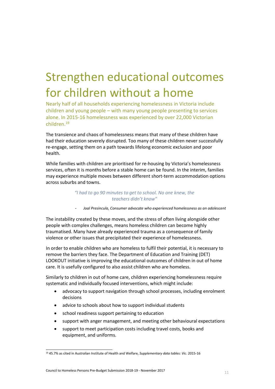# Strengthen educational outcomes for children without a home

Nearly half of all households experiencing homelessness in Victoria include children and young people – with many young people presenting to services alone. In 2015-16 homelessness was experienced by over 22,000 Victorian children.<sup>19</sup>

The transience and chaos of homelessness means that many of these children have had their education severely disrupted. Too many of these children never successfully re-engage, setting them on a path towards lifelong economic exclusion and poor health.

While families with children are prioritised for re-housing by Victoria's homelessness services, often it is months before a stable home can be found. In the interim, families may experience multiple moves between different short-term accommodation options across suburbs and towns.

#### *"I had to go 90 minutes to get to school. No one knew, the teachers didn't know"*

- *Joal Presincula, Consumer advocate who experienced homelessness as an adolescent*

The instability created by these moves, and the stress of often living alongside other people with complex challenges, means homeless children can become highly traumatised. Many have already experienced trauma as a consequence of family violence or other issues that precipitated their experience of homelessness.

In order to enable children who are homeless to fulfil their potential, it is necessary to remove the barriers they face. The Department of Education and Training (DET) LOOKOUT initiative is improving the educational outcomes of children in out of home care. It is usefully configured to also assist children who are homeless.

Similarly to children in out of home care, children experiencing homelessness require systematic and individually focused interventions, which might include:

- advocacy to support navigation through school processes, including enrolment decisions
- advice to schools about how to support individual students
- school readiness support pertaining to education
- support with anger management, and meeting other behavioural expectations
- support to meet participation costs including travel costs, books and equipment, and uniforms.

<sup>19</sup> 45.7% as cited in Australian Institute of Health and Welfare, *Supplementary data tables: Vic*. 2015-16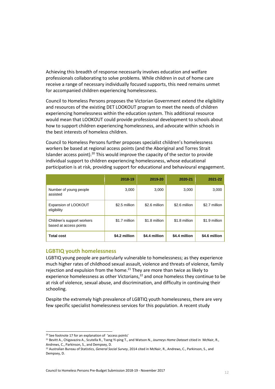Achieving this breadth of response necessarily involves education and welfare professionals collaborating to solve problems. While children in out of home care receive a range of necessary individually focused supports, this need remains unmet for accompanied children experiencing homelessness.

Council to Homeless Persons proposes the Victorian Government extend the eligibility and resources of the existing DET LOOKOUT program to meet the needs of children experiencing homelessness within the education system. This additional resource would mean that LOOKOUT could provide professional development to schools about how to support children experiencing homelessness, and advocate within schools in the best interests of homeless children.

Council to Homeless Persons further proposes specialist children's homelessness workers be based at regional access points (and the Aboriginal and Torres Strait Islander access point).<sup>20</sup> This would improve the capacity of the sector to provide individual support to children experiencing homelessness, whose educational participation is at risk, providing support for educational and behavioural engagement.

|                                                      | 2018-19       | 2019-20       | 2020-21       | 2021-22       |
|------------------------------------------------------|---------------|---------------|---------------|---------------|
| Number of young people<br>assisted                   | 3,000         | 3,000         | 3,000         | 3,000         |
| Expansion of LOOKOUT<br>eligibility                  | \$2.5 million | \$2.6 million | \$2.6 million | \$2.7 million |
| Children's support workers<br>based at access points | \$1.7 million | \$1.8 million | \$1.8 million | \$1.9 million |
| <b>Total cost</b>                                    | \$4.2 million | \$4.4 million | \$4.4 million | \$4.6 million |

#### **LGBTIQ youth homelessness**

LGBTIQ young people are particularly vulnerable to homelessness; as they experience much higher rates of childhood sexual assault, violence and threats of violence, family rejection and expulsion from the home.<sup>21</sup> They are more than twice as likely to experience homelessness as other Victorians, $^{22}$  and once homeless they continue to be at risk of violence, sexual abuse, and discrimination, and difficulty in continuing their schooling.

Despite the extremely high prevalence of LGBTIQ youth homelessness, there are very few specific specialist homelessness services for this population. A recent study

l <sup>20</sup> See footnote 17 for an explanation of 'access points'

<sup>21</sup> Bevitt A., Chigavazira A., Scutella R., Tseng Yi-ping T., and Watson N., *Journeys Home Dataset* citied in McNair, R., Andrews, C., Parkinson, S., and Dempsey, D.

<sup>22</sup> Australian Bureau of Statistics, *General Social Survey*, 2014 cited in McNair, R., Andrews, C., Parkinson, S., and Dempsey, D.